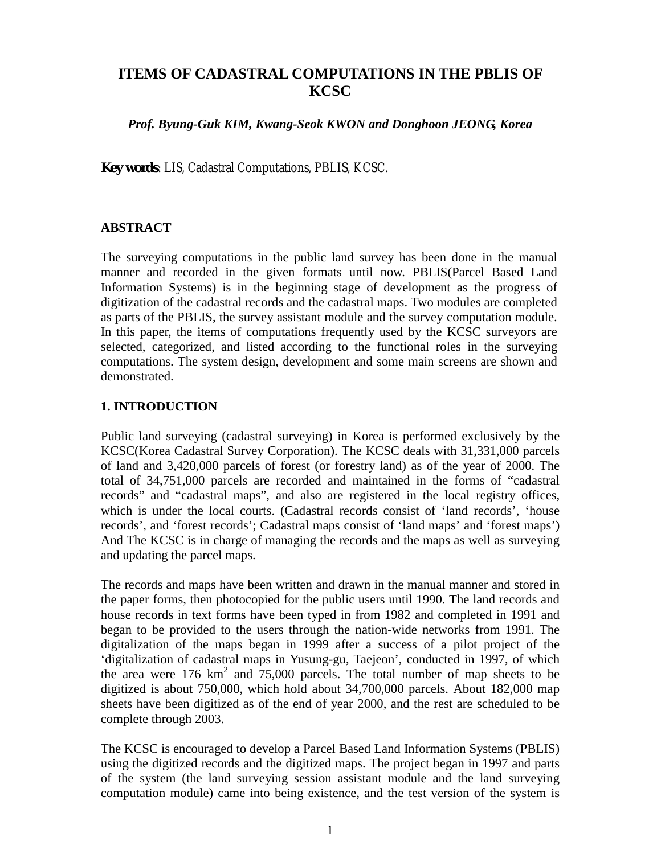## **ITEMS OF CADASTRAL COMPUTATIONS IN THE PBLIS OF KCSC**

*Prof. Byung-Guk KIM, Kwang-Seok KWON and Donghoon JEONG, Korea*

**Key words**: LIS, Cadastral Computations, PBLIS, KCSC.

## **ABSTRACT**

The surveying computations in the public land survey has been done in the manual manner and recorded in the given formats until now. PBLIS(Parcel Based Land Information Systems) is in the beginning stage of development as the progress of digitization of the cadastral records and the cadastral maps. Two modules are completed as parts of the PBLIS, the survey assistant module and the survey computation module. In this paper, the items of computations frequently used by the KCSC surveyors are selected, categorized, and listed according to the functional roles in the surveying computations. The system design, development and some main screens are shown and demonstrated.

## **1. INTRODUCTION**

Public land surveying (cadastral surveying) in Korea is performed exclusively by the KCSC(Korea Cadastral Survey Corporation). The KCSC deals with 31,331,000 parcels of land and 3,420,000 parcels of forest (or forestry land) as of the year of 2000. The total of 34,751,000 parcels are recorded and maintained in the forms of "cadastral records" and "cadastral maps", and also are registered in the local registry offices, which is under the local courts. (Cadastral records consist of 'land records', 'house records', and 'forest records'; Cadastral maps consist of 'land maps' and 'forest maps') And The KCSC is in charge of managing the records and the maps as well as surveying and updating the parcel maps.

The records and maps have been written and drawn in the manual manner and stored in the paper forms, then photocopied for the public users until 1990. The land records and house records in text forms have been typed in from 1982 and completed in 1991 and began to be provided to the users through the nation-wide networks from 1991. The digitalization of the maps began in 1999 after a success of a pilot project of the 'digitalization of cadastral maps in Yusung-gu, Taejeon', conducted in 1997, of which the area were  $176 \text{ km}^2$  and  $75,000$  parcels. The total number of map sheets to be digitized is about 750,000, which hold about 34,700,000 parcels. About 182,000 map sheets have been digitized as of the end of year 2000, and the rest are scheduled to be complete through 2003.

The KCSC is encouraged to develop a Parcel Based Land Information Systems (PBLIS) using the digitized records and the digitized maps. The project began in 1997 and parts of the system (the land surveying session assistant module and the land surveying computation module) came into being existence, and the test version of the system is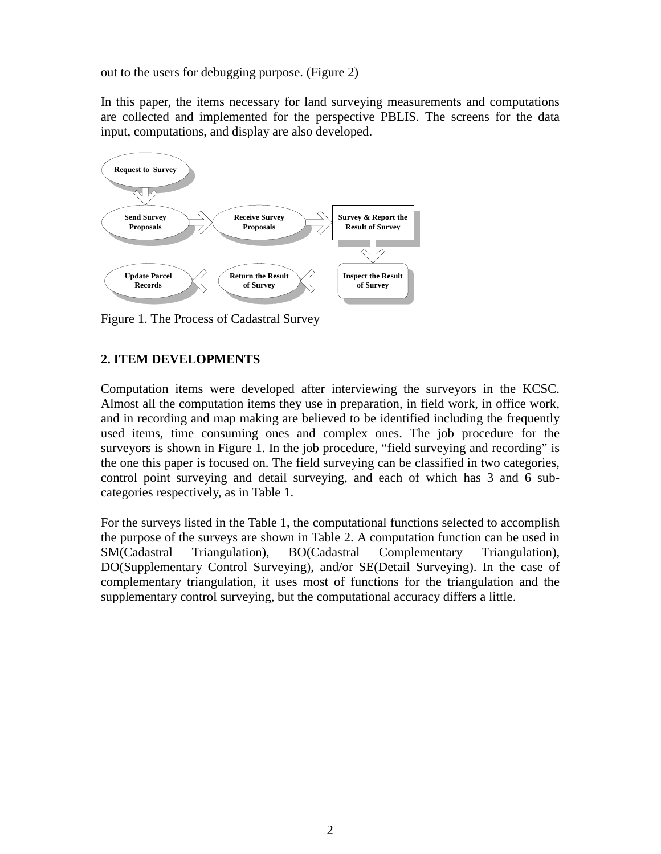out to the users for debugging purpose. (Figure 2)

In this paper, the items necessary for land surveying measurements and computations are collected and implemented for the perspective PBLIS. The screens for the data input, computations, and display are also developed.



Figure 1. The Process of Cadastral Survey

## **2. ITEM DEVELOPMENTS**

Computation items were developed after interviewing the surveyors in the KCSC. Almost all the computation items they use in preparation, in field work, in office work, and in recording and map making are believed to be identified including the frequently used items, time consuming ones and complex ones. The job procedure for the surveyors is shown in Figure 1. In the job procedure, "field surveying and recording" is the one this paper is focused on. The field surveying can be classified in two categories, control point surveying and detail surveying, and each of which has 3 and 6 subcategories respectively, as in Table 1.

For the surveys listed in the Table 1, the computational functions selected to accomplish the purpose of the surveys are shown in Table 2. A computation function can be used in SM(Cadastral Triangulation), BO(Cadastral Complementary Triangulation), DO(Supplementary Control Surveying), and/or SE(Detail Surveying). In the case of complementary triangulation, it uses most of functions for the triangulation and the supplementary control surveying, but the computational accuracy differs a little.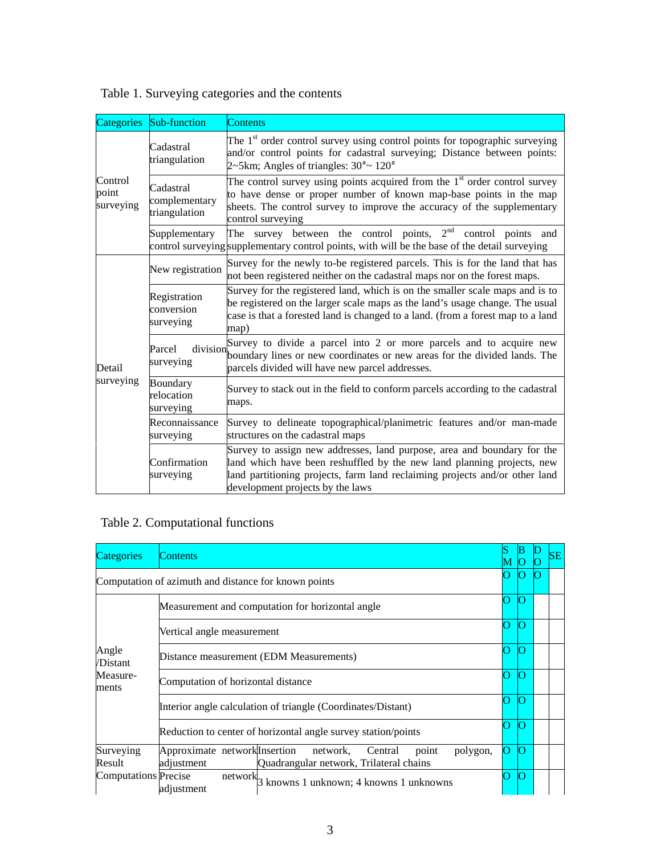| <b>Categories</b>             | Sub-function                                | <b>Contents</b>                                                                                                                                                                                                                                                      |
|-------------------------------|---------------------------------------------|----------------------------------------------------------------------------------------------------------------------------------------------------------------------------------------------------------------------------------------------------------------------|
| Control<br>point<br>surveying | Cadastral<br>triangulation                  | The $1st$ order control survey using control points for topographic surveying<br>and/or control points for cadastral surveying; Distance between points:<br>$2\nu$ -5km; Angles of triangles: $30^\circ \sim 120^\circ$                                              |
|                               | Cadastral<br>complementary<br>triangulation | The control survey using points acquired from the $1st$ order control survey<br>to have dense or proper number of known map-base points in the map<br>sheets. The control survey to improve the accuracy of the supplementary<br>control surveying                   |
|                               | Supplementary                               | The survey between the control points, $2nd$ control points and<br>control surveying supplementary control points, with will be the base of the detail surveying                                                                                                     |
| Detail<br>surveying           | New registration                            | Survey for the newly to-be registered parcels. This is for the land that has<br>not been registered neither on the cadastral maps nor on the forest maps.                                                                                                            |
|                               | Registration<br>conversion<br>surveying     | Survey for the registered land, which is on the smaller scale maps and is to<br>be registered on the larger scale maps as the land's usage change. The usual<br>case is that a forested land is changed to a land. (from a forest map to a land<br>map)              |
|                               | division<br>Parcel<br>surveying             | Survey to divide a parcel into 2 or more parcels and to acquire new<br>boundary lines or new coordinates or new areas for the divided lands. The<br>parcels divided will have new parcel addresses.                                                                  |
|                               | Boundary<br>relocation<br>surveying         | Survey to stack out in the field to conform parcels according to the cadastral<br>maps.                                                                                                                                                                              |
|                               | Reconnaissance<br>surveying                 | Survey to delineate topographical/planimetric features and/or man-made<br>structures on the cadastral maps                                                                                                                                                           |
|                               | Confirmation<br>surveying                   | Survey to assign new addresses, land purpose, area and boundary for the<br>land which have been reshuffled by the new land planning projects, new<br>land partitioning projects, farm land reclaiming projects and/or other land<br>development projects by the laws |

Table 1. Surveying categories and the contents

# Table 2. Computational functions

| Categories                                           | <b>Contents</b>                                                                                                                    | М |   | SE |
|------------------------------------------------------|------------------------------------------------------------------------------------------------------------------------------------|---|---|----|
| Computation of azimuth and distance for known points |                                                                                                                                    |   | 0 |    |
| Angle<br>/Distant<br>Measure-<br>ments               | Measurement and computation for horizontal angle                                                                                   |   |   |    |
|                                                      | Vertical angle measurement                                                                                                         | ∩ | 0 |    |
|                                                      | Distance measurement (EDM Measurements)                                                                                            |   | n |    |
|                                                      | Computation of horizontal distance                                                                                                 | า | 0 |    |
|                                                      | Interior angle calculation of triangle (Coordinates/Distant)                                                                       | П |   |    |
|                                                      | Reduction to center of horizontal angle survey station/points                                                                      |   | n |    |
| Surveying<br>Result                                  | Approximate network Insertion<br>polygon,<br>network,<br>Central<br>point<br>adjustment<br>Quadrangular network, Trilateral chains | n |   |    |
| <b>Computations</b> Precise                          | $\overline{\text{network}}_3$ .<br>knowns 1 unknown; 4 knowns 1 unknowns<br>adjustment                                             |   | 0 |    |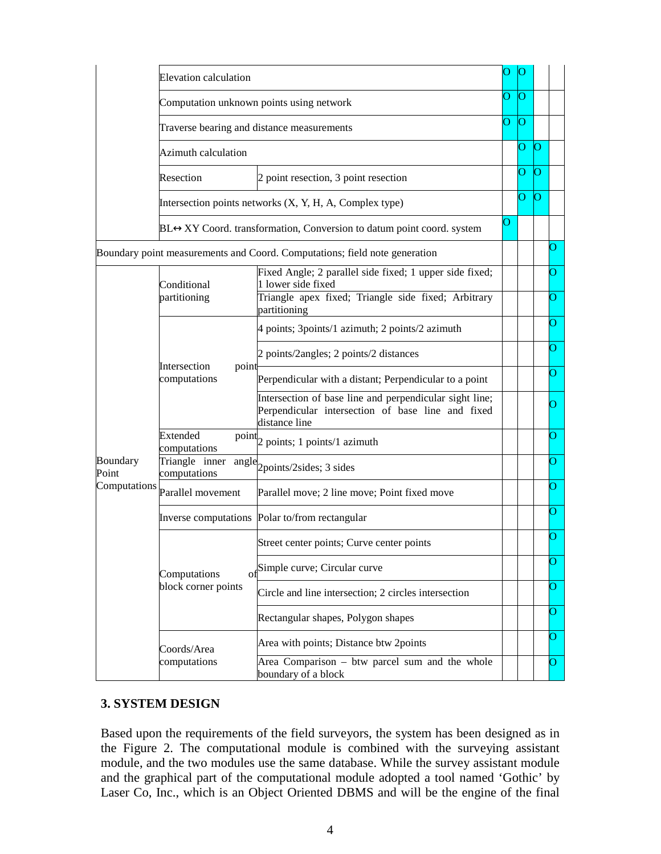|                                                                            | <b>Elevation calculation</b>                                                                                                    |                                                                                                                               |   |  |  |   |
|----------------------------------------------------------------------------|---------------------------------------------------------------------------------------------------------------------------------|-------------------------------------------------------------------------------------------------------------------------------|---|--|--|---|
|                                                                            | Computation unknown points using network                                                                                        | О                                                                                                                             | 0 |  |  |   |
|                                                                            | Traverse bearing and distance measurements                                                                                      | О                                                                                                                             | O |  |  |   |
|                                                                            | <b>Azimuth calculation</b>                                                                                                      |                                                                                                                               |   |  |  |   |
|                                                                            | Resection<br>2 point resection, 3 point resection                                                                               |                                                                                                                               |   |  |  |   |
|                                                                            | Intersection points networks (X, Y, H, A, Complex type)<br>BL↔XY Coord. transformation, Conversion to datum point coord. system |                                                                                                                               |   |  |  |   |
|                                                                            |                                                                                                                                 |                                                                                                                               |   |  |  |   |
| Boundary point measurements and Coord. Computations; field note generation |                                                                                                                                 |                                                                                                                               |   |  |  | О |
|                                                                            | Conditional                                                                                                                     | Fixed Angle; 2 parallel side fixed; 1 upper side fixed;<br>1 lower side fixed                                                 |   |  |  | О |
|                                                                            | partitioning                                                                                                                    | Triangle apex fixed; Triangle side fixed; Arbitrary<br>partitioning                                                           |   |  |  | О |
|                                                                            | Intersection<br>point<br>computations                                                                                           | 4 points; 3points/1 azimuth; 2 points/2 azimuth                                                                               |   |  |  | О |
|                                                                            |                                                                                                                                 | 2 points/2angles; 2 points/2 distances                                                                                        |   |  |  | О |
|                                                                            |                                                                                                                                 | Perpendicular with a distant; Perpendicular to a point                                                                        |   |  |  | О |
|                                                                            |                                                                                                                                 | Intersection of base line and perpendicular sight line;<br>Perpendicular intersection of base line and fixed<br>distance line |   |  |  | О |
|                                                                            | Extended<br>computations                                                                                                        | $\frac{\text{point}}{\text{2 points}}$ ; 1 points/1 azimuth                                                                   |   |  |  | O |
| Boundary<br>Point                                                          | Triangle inner<br>computations                                                                                                  | $angle$ <sub>2</sub> points/2sides; 3 sides                                                                                   |   |  |  | О |
| Computations                                                               | Parallel movement                                                                                                               | Parallel move; 2 line move; Point fixed move                                                                                  |   |  |  | О |
|                                                                            |                                                                                                                                 | Inverse computations Polar to/from rectangular                                                                                |   |  |  | О |
|                                                                            |                                                                                                                                 | Street center points; Curve center points                                                                                     |   |  |  | О |
|                                                                            | Computations                                                                                                                    | ofSimple curve; Circular curve                                                                                                |   |  |  | O |
|                                                                            | block corner points                                                                                                             | Circle and line intersection; 2 circles intersection                                                                          |   |  |  | O |
|                                                                            |                                                                                                                                 | Rectangular shapes, Polygon shapes                                                                                            |   |  |  | О |
|                                                                            | Coords/Area                                                                                                                     | Area with points; Distance btw 2points                                                                                        |   |  |  | O |
|                                                                            | computations                                                                                                                    | Area Comparison – btw parcel sum and the whole<br>boundary of a block                                                         |   |  |  | О |

## **3. SYSTEM DESIGN**

Based upon the requirements of the field surveyors, the system has been designed as in the Figure 2. The computational module is combined with the surveying assistant module, and the two modules use the same database. While the survey assistant module and the graphical part of the computational module adopted a tool named 'Gothic' by Laser Co, Inc., which is an Object Oriented DBMS and will be the engine of the final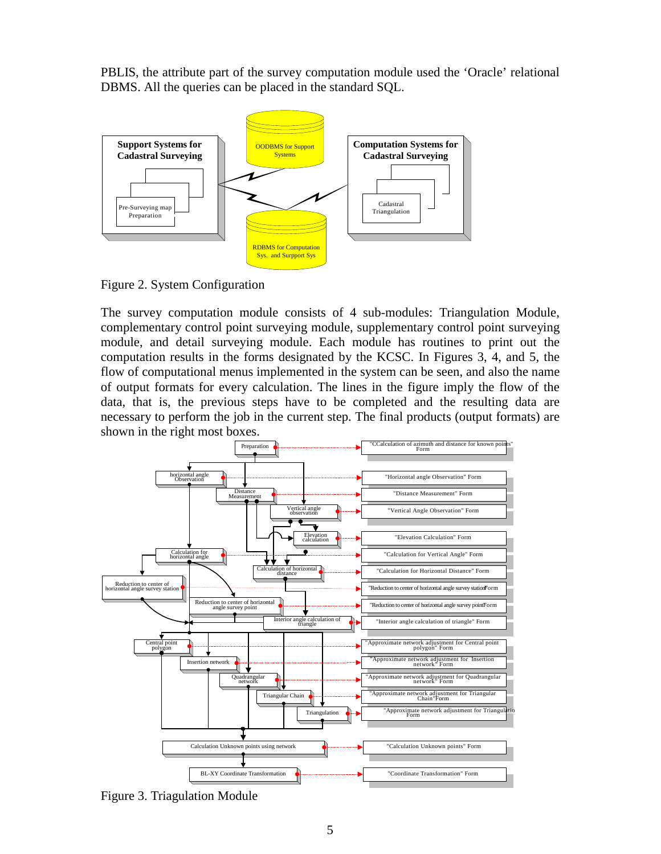PBLIS, the attribute part of the survey computation module used the 'Oracle' relational DBMS. All the queries can be placed in the standard SQL.





The survey computation module consists of 4 sub-modules: Triangulation Module, complementary control point surveying module, supplementary control point surveying module, and detail surveying module. Each module has routines to print out the computation results in the forms designated by the KCSC. In Figures 3, 4, and 5, the flow of computational menus implemented in the system can be seen, and also the name of output formats for every calculation. The lines in the figure imply the flow of the data, that is, the previous steps have to be completed and the resulting data are necessary to perform the job in the current step. The final products (output formats) are shown in the right most boxes.



Figure 3. Triagulation Module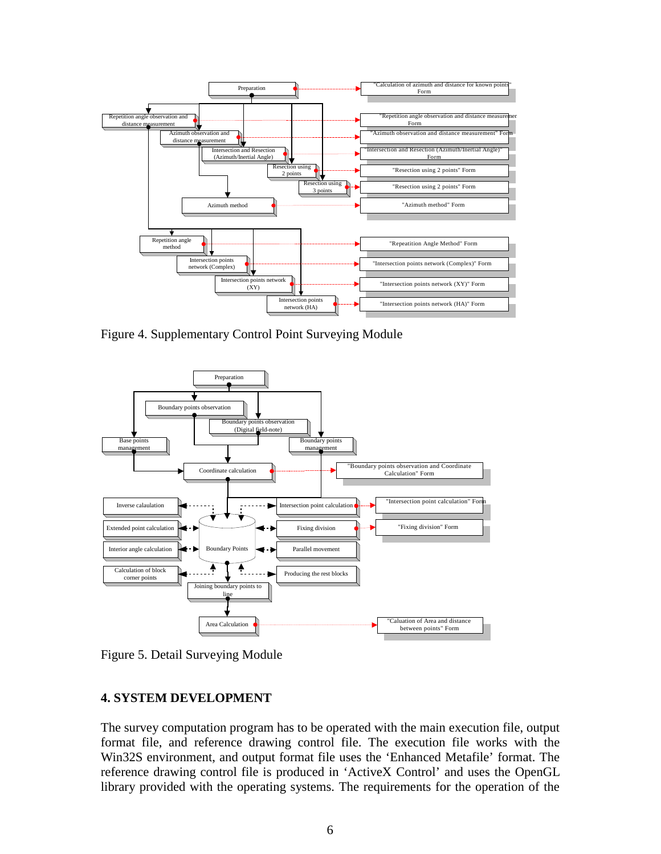

Figure 4. Supplementary Control Point Surveying Module



Figure 5. Detail Surveying Module

## **4. SYSTEM DEVELOPMENT**

The survey computation program has to be operated with the main execution file, output format file, and reference drawing control file. The execution file works with the Win32S environment, and output format file uses the 'Enhanced Metafile' format. The reference drawing control file is produced in 'ActiveX Control' and uses the OpenGL library provided with the operating systems. The requirements for the operation of the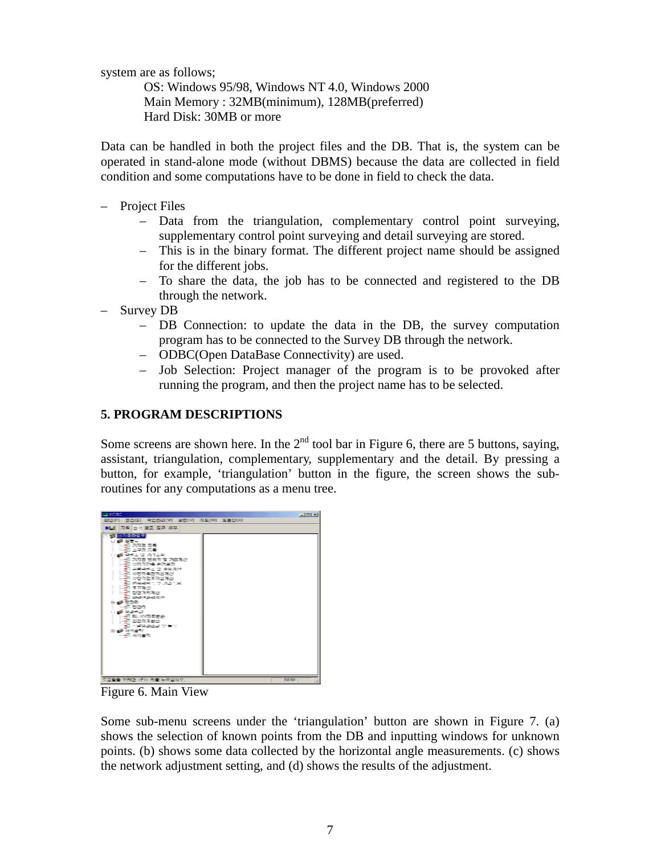system are as follows;

OS: Windows 95/98, Windows NT 4.0, Windows 2000 Main Memory : 32MB(minimum), 128MB(preferred) Hard Disk: 30MB or more

Data can be handled in both the project files and the DB. That is, the system can be operated in stand-alone mode (without DBMS) because the data are collected in field condition and some computations have to be done in field to check the data.

- Project Files
	- Data from the triangulation, complementary control point surveying, supplementary control point surveying and detail surveying are stored.
	- This is in the binary format. The different project name should be assigned for the different jobs.
	- To share the data, the job has to be connected and registered to the DB through the network.
- Survey DB
	- DB Connection: to update the data in the DB, the survey computation program has to be connected to the Survey DB through the network.
	- ODBC(Open DataBase Connectivity) are used.
	- Job Selection: Project manager of the program is to be provoked after running the program, and then the project name has to be selected.

## **5. PROGRAM DESCRIPTIONS**

Some screens are shown here. In the  $2<sup>nd</sup>$  tool bar in Figure 6, there are 5 buttons, saying, assistant, triangulation, complementary, supplementary and the detail. By pressing a button, for example, 'triangulation' button in the figure, the screen shows the subroutines for any computations as a menu tree.



Figure 6. Main View

Some sub-menu screens under the 'triangulation' button are shown in Figure 7. (a) shows the selection of known points from the DB and inputting windows for unknown points. (b) shows some data collected by the horizontal angle measurements. (c) shows the network adjustment setting, and (d) shows the results of the adjustment.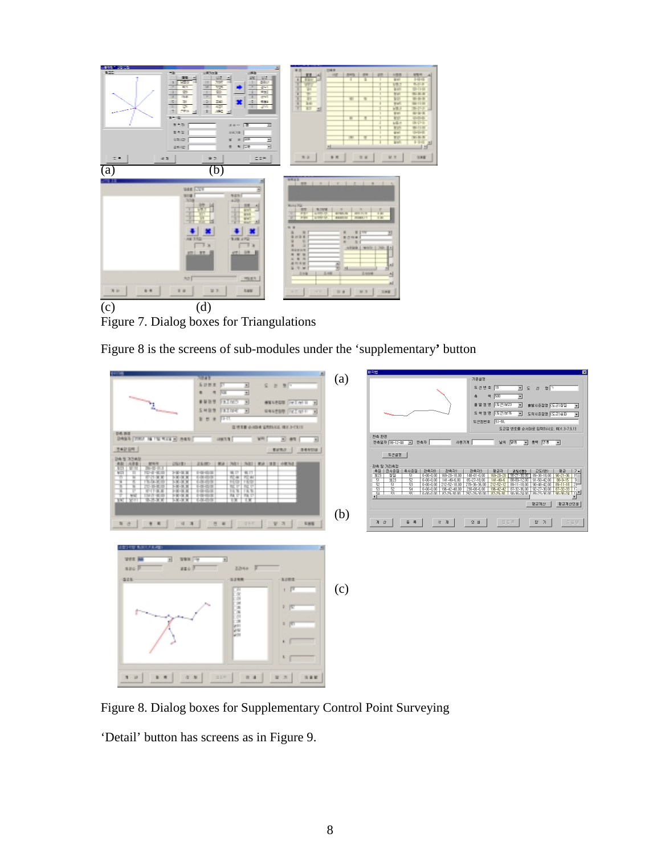

Figure 7. Dialog boxes for Triangulations

Figure 8 is the screens of sub-modules under the 'supplementary**'** button



Figure 8. Dialog boxes for Supplementary Control Point Surveying

'Detail' button has screens as in Figure 9.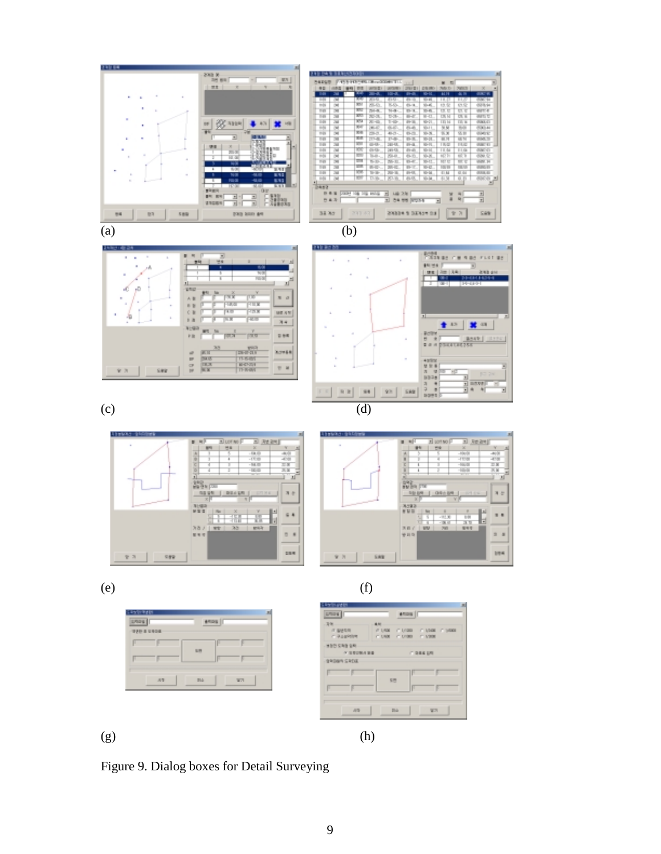











 $(e)$  (f)







Figure 9. Dialog boxes for Detail Surveying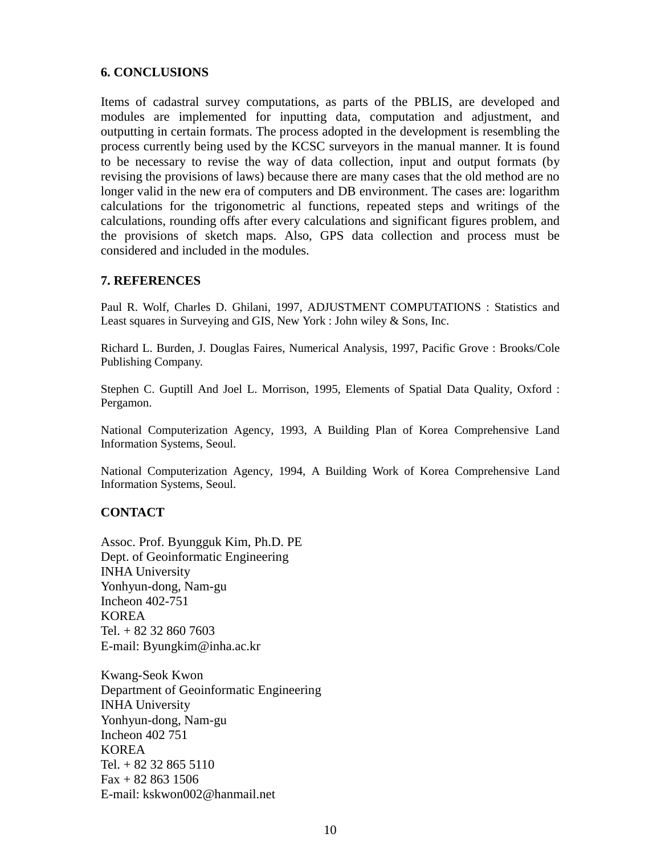## **6. CONCLUSIONS**

Items of cadastral survey computations, as parts of the PBLIS, are developed and modules are implemented for inputting data, computation and adjustment, and outputting in certain formats. The process adopted in the development is resembling the process currently being used by the KCSC surveyors in the manual manner. It is found to be necessary to revise the way of data collection, input and output formats (by revising the provisions of laws) because there are many cases that the old method are no longer valid in the new era of computers and DB environment. The cases are: logarithm calculations for the trigonometric al functions, repeated steps and writings of the calculations, rounding offs after every calculations and significant figures problem, and the provisions of sketch maps. Also, GPS data collection and process must be considered and included in the modules.

## **7. REFERENCES**

Paul R. Wolf, Charles D. Ghilani, 1997, ADJUSTMENT COMPUTATIONS : Statistics and Least squares in Surveying and GIS, New York : John wiley & Sons, Inc.

Richard L. Burden, J. Douglas Faires, Numerical Analysis, 1997, Pacific Grove : Brooks/Cole Publishing Company.

Stephen C. Guptill And Joel L. Morrison, 1995, Elements of Spatial Data Quality, Oxford : Pergamon.

National Computerization Agency, 1993, A Building Plan of Korea Comprehensive Land Information Systems, Seoul.

National Computerization Agency, 1994, A Building Work of Korea Comprehensive Land Information Systems, Seoul.

## **CONTACT**

Assoc. Prof. Byungguk Kim, Ph.D. PE Dept. of Geoinformatic Engineering INHA University Yonhyun-dong, Nam-gu Incheon 402-751 KOREA Tel. + 82 32 860 7603 E-mail: Byungkim@inha.ac.kr

Kwang-Seok Kwon Department of Geoinformatic Engineering INHA University Yonhyun-dong, Nam-gu Incheon 402 751 KOREA Tel. + 82 32 865 5110  $Fax + 82 863 1506$ E-mail: kskwon002@hanmail.net